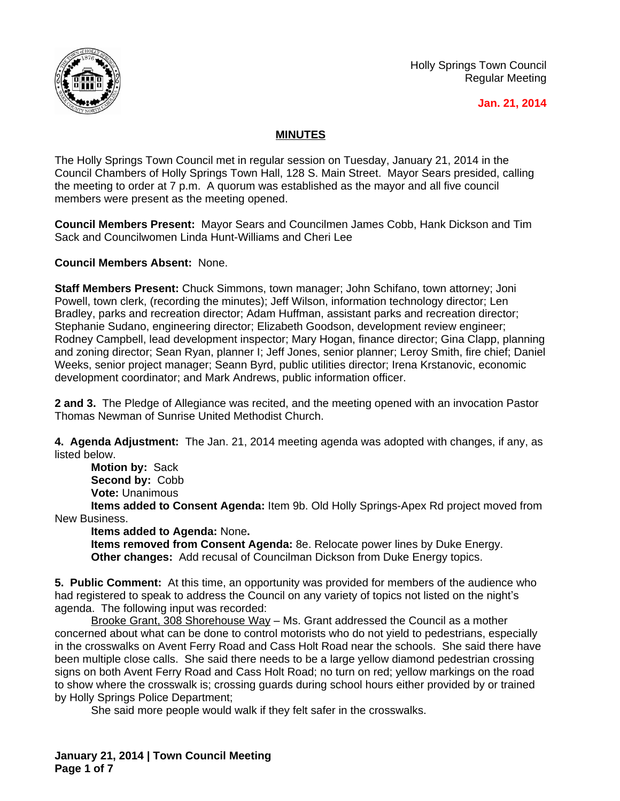

Holly Springs Town Council Regular Meeting

## **Jan. 21, 2014**

## **MINUTES**

The Holly Springs Town Council met in regular session on Tuesday, January 21, 2014 in the Council Chambers of Holly Springs Town Hall, 128 S. Main Street. Mayor Sears presided, calling the meeting to order at 7 p.m. A quorum was established as the mayor and all five council members were present as the meeting opened.

**Council Members Present:** Mayor Sears and Councilmen James Cobb, Hank Dickson and Tim Sack and Councilwomen Linda Hunt-Williams and Cheri Lee

**Council Members Absent:** None.

**Staff Members Present:** Chuck Simmons, town manager; John Schifano, town attorney; Joni Powell, town clerk, (recording the minutes); Jeff Wilson, information technology director; Len Bradley, parks and recreation director; Adam Huffman, assistant parks and recreation director; Stephanie Sudano, engineering director; Elizabeth Goodson, development review engineer; Rodney Campbell, lead development inspector; Mary Hogan, finance director; Gina Clapp, planning and zoning director; Sean Ryan, planner I; Jeff Jones, senior planner; Leroy Smith, fire chief; Daniel Weeks, senior project manager; Seann Byrd, public utilities director; Irena Krstanovic, economic development coordinator; and Mark Andrews, public information officer.

**2 and 3.** The Pledge of Allegiance was recited, and the meeting opened with an invocation Pastor Thomas Newman of Sunrise United Methodist Church.

**4. Agenda Adjustment:** The Jan. 21, 2014 meeting agenda was adopted with changes, if any, as listed below.

**Motion by:** Sack **Second by:** Cobb **Vote:** Unanimous

**Items added to Consent Agenda:** Item 9b. Old Holly Springs-Apex Rd project moved from New Business.

**Items added to Agenda:** None**.**

**Items removed from Consent Agenda:** 8e. Relocate power lines by Duke Energy. **Other changes:** Add recusal of Councilman Dickson from Duke Energy topics.

**5. Public Comment:** At this time, an opportunity was provided for members of the audience who had registered to speak to address the Council on any variety of topics not listed on the night's agenda. The following input was recorded:

Brooke Grant, 308 Shorehouse Way - Ms. Grant addressed the Council as a mother concerned about what can be done to control motorists who do not yield to pedestrians, especially in the crosswalks on Avent Ferry Road and Cass Holt Road near the schools. She said there have been multiple close calls. She said there needs to be a large yellow diamond pedestrian crossing signs on both Avent Ferry Road and Cass Holt Road; no turn on red; yellow markings on the road to show where the crosswalk is; crossing guards during school hours either provided by or trained by Holly Springs Police Department;

She said more people would walk if they felt safer in the crosswalks.

**January 21, 2014 | Town Council Meeting Page 1 of 7**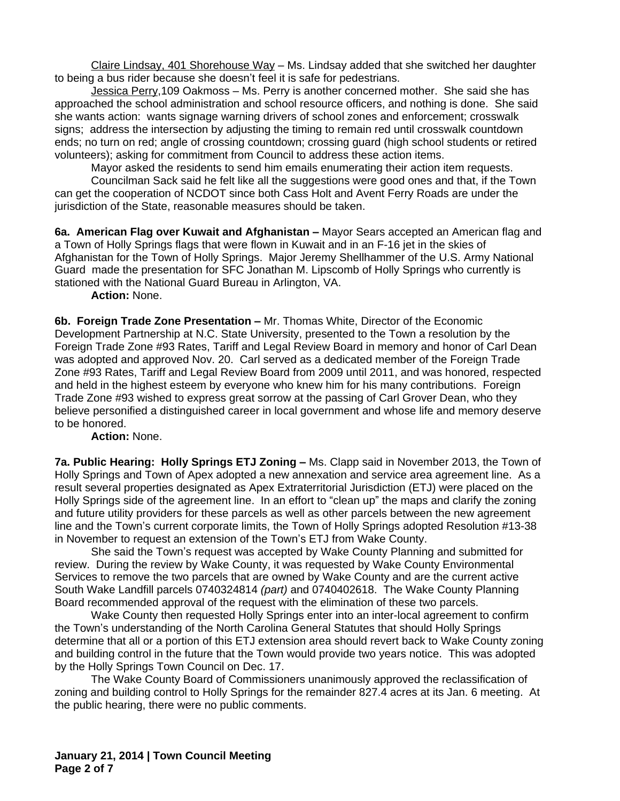Claire Lindsay, 401 Shorehouse Way – Ms. Lindsay added that she switched her daughter to being a bus rider because she doesn't feel it is safe for pedestrians.

Jessica Perry,109 Oakmoss – Ms. Perry is another concerned mother. She said she has approached the school administration and school resource officers, and nothing is done. She said she wants action: wants signage warning drivers of school zones and enforcement; crosswalk signs; address the intersection by adjusting the timing to remain red until crosswalk countdown ends; no turn on red; angle of crossing countdown; crossing guard (high school students or retired volunteers); asking for commitment from Council to address these action items.

Mayor asked the residents to send him emails enumerating their action item requests.

Councilman Sack said he felt like all the suggestions were good ones and that, if the Town can get the cooperation of NCDOT since both Cass Holt and Avent Ferry Roads are under the jurisdiction of the State, reasonable measures should be taken.

**6a. American Flag over Kuwait and Afghanistan –** Mayor Sears accepted an American flag and a Town of Holly Springs flags that were flown in Kuwait and in an F-16 jet in the skies of Afghanistan for the Town of Holly Springs. Major Jeremy Shellhammer of the U.S. Army National Guard made the presentation for SFC Jonathan M. Lipscomb of Holly Springs who currently is stationed with the National Guard Bureau in Arlington, VA.

**Action:** None.

**6b. Foreign Trade Zone Presentation –** Mr. Thomas White, Director of the Economic Development Partnership at N.C. State University, presented to the Town a resolution by the Foreign Trade Zone #93 Rates, Tariff and Legal Review Board in memory and honor of Carl Dean was adopted and approved Nov. 20. Carl served as a dedicated member of the Foreign Trade Zone #93 Rates, Tariff and Legal Review Board from 2009 until 2011, and was honored, respected and held in the highest esteem by everyone who knew him for his many contributions. Foreign Trade Zone #93 wished to express great sorrow at the passing of Carl Grover Dean, who they believe personified a distinguished career in local government and whose life and memory deserve to be honored.

**Action:** None.

**7a. Public Hearing: Holly Springs ETJ Zoning - Ms. Clapp said in November 2013, the Town of** Holly Springs and Town of Apex adopted a new annexation and service area agreement line. As a result several properties designated as Apex Extraterritorial Jurisdiction (ETJ) were placed on the Holly Springs side of the agreement line. In an effort to "clean up" the maps and clarify the zoning and future utility providers for these parcels as well as other parcels between the new agreement line and the Town's current corporate limits, the Town of Holly Springs adopted Resolution #13-38 in November to request an extension of the Town's ETJ from Wake County.

She said the Town's request was accepted by Wake County Planning and submitted for review. During the review by Wake County, it was requested by Wake County Environmental Services to remove the two parcels that are owned by Wake County and are the current active South Wake Landfill parcels 0740324814 *(part)* and 0740402618. The Wake County Planning Board recommended approval of the request with the elimination of these two parcels.

Wake County then requested Holly Springs enter into an inter-local agreement to confirm the Town's understanding of the North Carolina General Statutes that should Holly Springs determine that all or a portion of this ETJ extension area should revert back to Wake County zoning and building control in the future that the Town would provide two years notice. This was adopted by the Holly Springs Town Council on Dec. 17.

The Wake County Board of Commissioners unanimously approved the reclassification of zoning and building control to Holly Springs for the remainder 827.4 acres at its Jan. 6 meeting. At the public hearing, there were no public comments.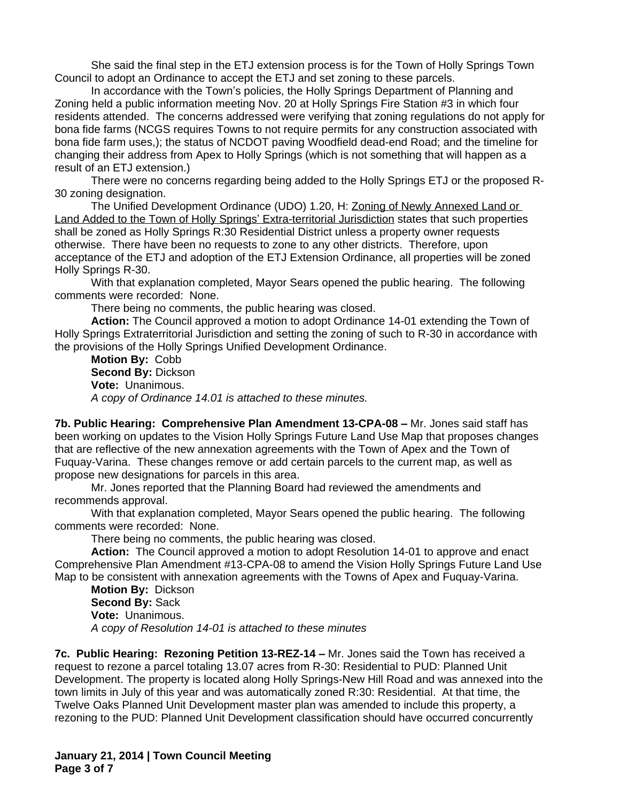She said the final step in the ETJ extension process is for the Town of Holly Springs Town Council to adopt an Ordinance to accept the ETJ and set zoning to these parcels.

In accordance with the Town's policies, the Holly Springs Department of Planning and Zoning held a public information meeting Nov. 20 at Holly Springs Fire Station #3 in which four residents attended. The concerns addressed were verifying that zoning regulations do not apply for bona fide farms (NCGS requires Towns to not require permits for any construction associated with bona fide farm uses,); the status of NCDOT paving Woodfield dead-end Road; and the timeline for changing their address from Apex to Holly Springs (which is not something that will happen as a result of an ETJ extension.)

There were no concerns regarding being added to the Holly Springs ETJ or the proposed R-30 zoning designation.

The Unified Development Ordinance (UDO) 1.20, H: Zoning of Newly Annexed Land or Land Added to the Town of Holly Springs' Extra-territorial Jurisdiction states that such properties shall be zoned as Holly Springs R:30 Residential District unless a property owner requests otherwise. There have been no requests to zone to any other districts. Therefore, upon acceptance of the ETJ and adoption of the ETJ Extension Ordinance, all properties will be zoned Holly Springs R-30.

With that explanation completed, Mayor Sears opened the public hearing. The following comments were recorded: None.

There being no comments, the public hearing was closed.

**Action:** The Council approved a motion to adopt Ordinance 14-01 extending the Town of Holly Springs Extraterritorial Jurisdiction and setting the zoning of such to R-30 in accordance with the provisions of the Holly Springs Unified Development Ordinance.

**Motion By:** Cobb **Second By:** Dickson **Vote:** Unanimous. *A copy of Ordinance 14.01 is attached to these minutes.*

**7b. Public Hearing: Comprehensive Plan Amendment 13-CPA-08 –** Mr. Jones said staff has been working on updates to the Vision Holly Springs Future Land Use Map that proposes changes that are reflective of the new annexation agreements with the Town of Apex and the Town of Fuquay-Varina. These changes remove or add certain parcels to the current map, as well as propose new designations for parcels in this area.

Mr. Jones reported that the Planning Board had reviewed the amendments and recommends approval.

With that explanation completed, Mayor Sears opened the public hearing. The following comments were recorded: None.

There being no comments, the public hearing was closed.

**Action:** The Council approved a motion to adopt Resolution 14-01 to approve and enact Comprehensive Plan Amendment #13-CPA-08 to amend the Vision Holly Springs Future Land Use Map to be consistent with annexation agreements with the Towns of Apex and Fuquay-Varina.

**Motion By:** Dickson **Second By:** Sack **Vote:** Unanimous. *A copy of Resolution 14-01 is attached to these minutes*

**7c. Public Hearing: Rezoning Petition 13-REZ-14 –** Mr. Jones said the Town has received a request to rezone a parcel totaling 13.07 acres from R-30: Residential to PUD: Planned Unit Development. The property is located along Holly Springs-New Hill Road and was annexed into the town limits in July of this year and was automatically zoned R:30: Residential. At that time, the Twelve Oaks Planned Unit Development master plan was amended to include this property, a rezoning to the PUD: Planned Unit Development classification should have occurred concurrently

**January 21, 2014 | Town Council Meeting Page 3 of 7**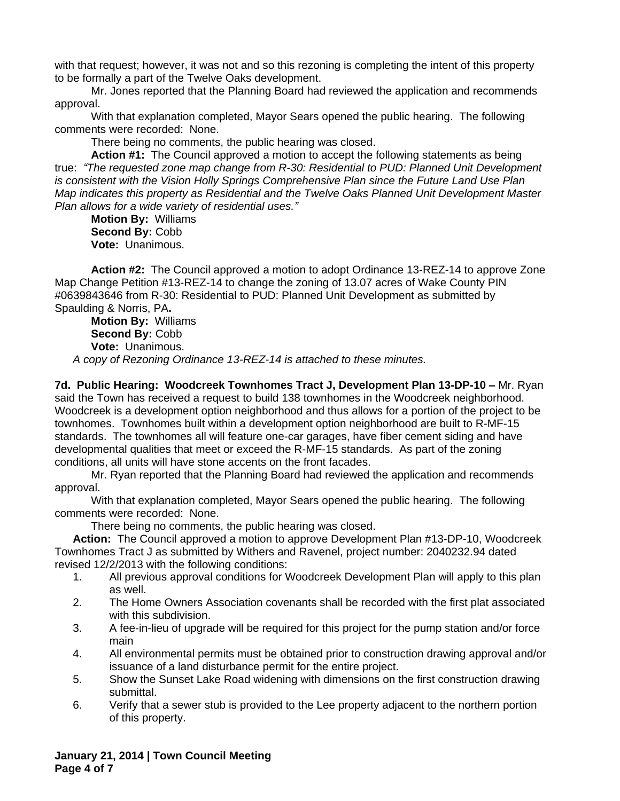with that request; however, it was not and so this rezoning is completing the intent of this property to be formally a part of the Twelve Oaks development.

Mr. Jones reported that the Planning Board had reviewed the application and recommends approval.

With that explanation completed, Mayor Sears opened the public hearing. The following comments were recorded: None.

There being no comments, the public hearing was closed.

**Action #1:** The Council approved a motion to accept the following statements as being true: *"The requested zone map change from R-30: Residential to PUD: Planned Unit Development is consistent with the Vision Holly Springs Comprehensive Plan since the Future Land Use Plan Map indicates this property as Residential and the Twelve Oaks Planned Unit Development Master Plan allows for a wide variety of residential uses."*

**Motion By:** Williams **Second By:** Cobb **Vote:** Unanimous.

**Action #2:** The Council approved a motion to adopt Ordinance 13-REZ-14 to approve Zone Map Change Petition #13-REZ-14 to change the zoning of 13.07 acres of Wake County PIN #0639843646 from R-30: Residential to PUD: Planned Unit Development as submitted by Spaulding & Norris, PA**.**

**Motion By:** Williams **Second By:** Cobb **Vote:** Unanimous. *A copy of Rezoning Ordinance 13-REZ-14 is attached to these minutes.*

**7d. Public Hearing: Woodcreek Townhomes Tract J, Development Plan 13-DP-10 –** Mr. Ryan said the Town has received a request to build 138 townhomes in the Woodcreek neighborhood. Woodcreek is a development option neighborhood and thus allows for a portion of the project to be townhomes. Townhomes built within a development option neighborhood are built to R-MF-15 standards. The townhomes all will feature one-car garages, have fiber cement siding and have developmental qualities that meet or exceed the R-MF-15 standards. As part of the zoning conditions, all units will have stone accents on the front facades.

Mr. Ryan reported that the Planning Board had reviewed the application and recommends approval.

With that explanation completed, Mayor Sears opened the public hearing. The following comments were recorded: None.

There being no comments, the public hearing was closed.

**Action:** The Council approved a motion to approve Development Plan #13-DP-10, Woodcreek Townhomes Tract J as submitted by Withers and Ravenel, project number: 2040232.94 dated revised 12/2/2013 with the following conditions:

- 1. All previous approval conditions for Woodcreek Development Plan will apply to this plan as well.
- 2. The Home Owners Association covenants shall be recorded with the first plat associated with this subdivision.
- 3. A fee-in-lieu of upgrade will be required for this project for the pump station and/or force main
- 4. All environmental permits must be obtained prior to construction drawing approval and/or issuance of a land disturbance permit for the entire project.
- 5. Show the Sunset Lake Road widening with dimensions on the first construction drawing submittal.
- 6. Verify that a sewer stub is provided to the Lee property adjacent to the northern portion of this property.

**January 21, 2014 | Town Council Meeting Page 4 of 7**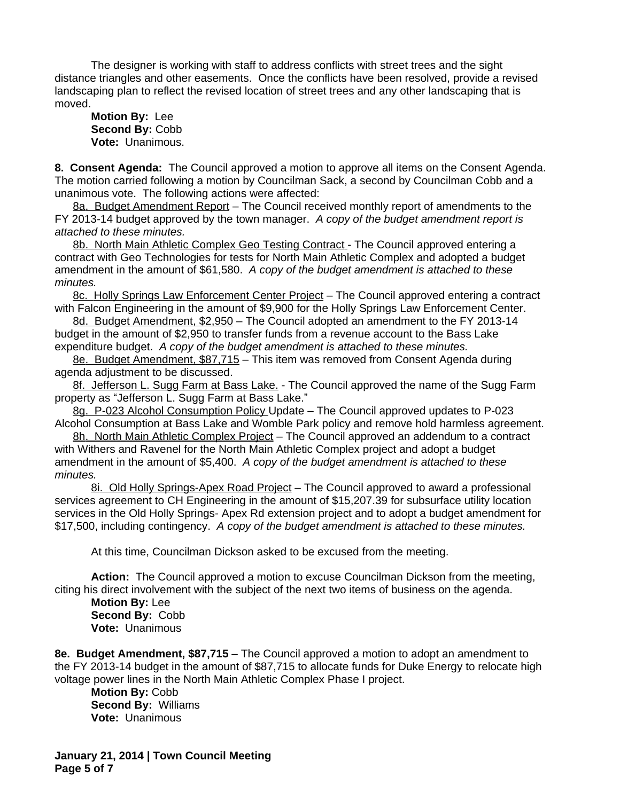The designer is working with staff to address conflicts with street trees and the sight distance triangles and other easements. Once the conflicts have been resolved, provide a revised landscaping plan to reflect the revised location of street trees and any other landscaping that is moved.

**Motion By:** Lee **Second By:** Cobb **Vote:** Unanimous.

**8. Consent Agenda:** The Council approved a motion to approve all items on the Consent Agenda. The motion carried following a motion by Councilman Sack, a second by Councilman Cobb and a unanimous vote. The following actions were affected:

8a. Budget Amendment Report – The Council received monthly report of amendments to the FY 2013-14 budget approved by the town manager. *A copy of the budget amendment report is attached to these minutes.*

8b. North Main Athletic Complex Geo Testing Contract - The Council approved entering a contract with Geo Technologies for tests for North Main Athletic Complex and adopted a budget amendment in the amount of \$61,580.*A copy of the budget amendment is attached to these minutes.*

8c. Holly Springs Law Enforcement Center Project – The Council approved entering a contract with Falcon Engineering in the amount of \$9,900 for the Holly Springs Law Enforcement Center.

8d. Budget Amendment, \$2,950 – The Council adopted an amendment to the FY 2013-14 budget in the amount of \$2,950 to transfer funds from a revenue account to the Bass Lake expenditure budget. *A copy of the budget amendment is attached to these minutes.*

8e. Budget Amendment, \$87,715 – This item was removed from Consent Agenda during agenda adjustment to be discussed.

8f. Jefferson L. Sugg Farm at Bass Lake. - The Council approved the name of the Sugg Farm property as "Jefferson L. Sugg Farm at Bass Lake."

8g. P-023 Alcohol Consumption Policy Update – The Council approved updates to P-023 Alcohol Consumption at Bass Lake and Womble Park policy and remove hold harmless agreement.

8h. North Main Athletic Complex Project – The Council approved an addendum to a contract with Withers and Ravenel for the North Main Athletic Complex project and adopt a budget amendment in the amount of \$5,400.*A copy of the budget amendment is attached to these minutes.*

8i. Old Holly Springs-Apex Road Project – The Council approved to award a professional services agreement to CH Engineering in the amount of \$15,207.39 for subsurface utility location services in the Old Holly Springs- Apex Rd extension project and to adopt a budget amendment for \$17,500, including contingency. *A copy of the budget amendment is attached to these minutes.*

At this time, Councilman Dickson asked to be excused from the meeting.

**Action:** The Council approved a motion to excuse Councilman Dickson from the meeting, citing his direct involvement with the subject of the next two items of business on the agenda.

**Motion By:** Lee **Second By:** Cobb **Vote:** Unanimous

**8e. Budget Amendment, \$87,715** – The Council approved a motion to adopt an amendment to the FY 2013-14 budget in the amount of \$87,715 to allocate funds for Duke Energy to relocate high voltage power lines in the North Main Athletic Complex Phase I project.

**Motion By:** Cobb **Second By:** Williams **Vote:** Unanimous

**January 21, 2014 | Town Council Meeting Page 5 of 7**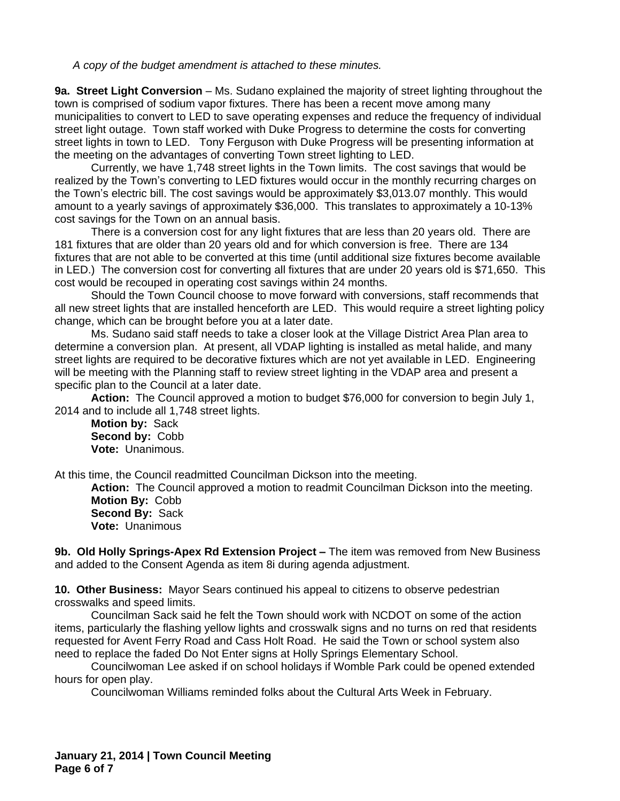*A copy of the budget amendment is attached to these minutes.*

**9a. Street Light Conversion** – Ms. Sudano explained the majority of street lighting throughout the town is comprised of sodium vapor fixtures. There has been a recent move among many municipalities to convert to LED to save operating expenses and reduce the frequency of individual street light outage. Town staff worked with Duke Progress to determine the costs for converting street lights in town to LED. Tony Ferguson with Duke Progress will be presenting information at the meeting on the advantages of converting Town street lighting to LED.

Currently, we have 1,748 street lights in the Town limits. The cost savings that would be realized by the Town's converting to LED fixtures would occur in the monthly recurring charges on the Town's electric bill. The cost savings would be approximately \$3,013.07 monthly. This would amount to a yearly savings of approximately \$36,000. This translates to approximately a 10-13% cost savings for the Town on an annual basis.

There is a conversion cost for any light fixtures that are less than 20 years old. There are 181 fixtures that are older than 20 years old and for which conversion is free. There are 134 fixtures that are not able to be converted at this time (until additional size fixtures become available in LED.) The conversion cost for converting all fixtures that are under 20 years old is \$71,650. This cost would be recouped in operating cost savings within 24 months.

Should the Town Council choose to move forward with conversions, staff recommends that all new street lights that are installed henceforth are LED. This would require a street lighting policy change, which can be brought before you at a later date.

Ms. Sudano said staff needs to take a closer look at the Village District Area Plan area to determine a conversion plan. At present, all VDAP lighting is installed as metal halide, and many street lights are required to be decorative fixtures which are not yet available in LED. Engineering will be meeting with the Planning staff to review street lighting in the VDAP area and present a specific plan to the Council at a later date.

**Action:** The Council approved a motion to budget \$76,000 for conversion to begin July 1, 2014 and to include all 1,748 street lights.

**Motion by:** Sack **Second by:** Cobb **Vote:** Unanimous.

At this time, the Council readmitted Councilman Dickson into the meeting.

**Action:** The Council approved a motion to readmit Councilman Dickson into the meeting. **Motion By:** Cobb **Second By:** Sack **Vote:** Unanimous

**9b. Old Holly Springs-Apex Rd Extension Project –** The item was removed from New Business and added to the Consent Agenda as item 8i during agenda adjustment.

**10. Other Business:** Mayor Sears continued his appeal to citizens to observe pedestrian crosswalks and speed limits.

Councilman Sack said he felt the Town should work with NCDOT on some of the action items, particularly the flashing yellow lights and crosswalk signs and no turns on red that residents requested for Avent Ferry Road and Cass Holt Road. He said the Town or school system also need to replace the faded Do Not Enter signs at Holly Springs Elementary School.

Councilwoman Lee asked if on school holidays if Womble Park could be opened extended hours for open play.

Councilwoman Williams reminded folks about the Cultural Arts Week in February.

**January 21, 2014 | Town Council Meeting Page 6 of 7**